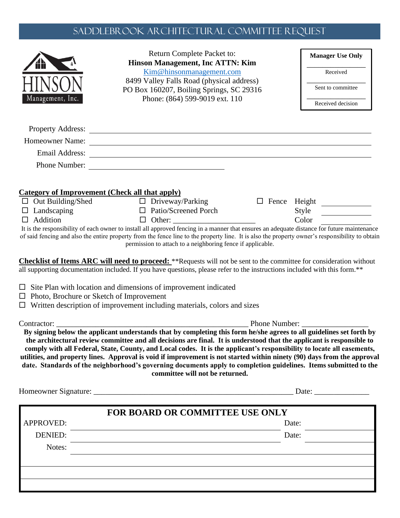## Saddlebrook ARCHITECTURAL COMMITTEE REQUEST

|                                                                                                                            | Return Complete Packet to:<br>Hinson Management, Inc ATTN: Kim                                                                                                                                                                                                                                                                                                                                                                                                                                                                                                                                                                                            |               | <b>Manager Use Only</b>                          |
|----------------------------------------------------------------------------------------------------------------------------|-----------------------------------------------------------------------------------------------------------------------------------------------------------------------------------------------------------------------------------------------------------------------------------------------------------------------------------------------------------------------------------------------------------------------------------------------------------------------------------------------------------------------------------------------------------------------------------------------------------------------------------------------------------|---------------|--------------------------------------------------|
|                                                                                                                            | Kim@hinsonmanagement.com<br>8499 Valley Falls Road (physical address)                                                                                                                                                                                                                                                                                                                                                                                                                                                                                                                                                                                     |               | Received                                         |
|                                                                                                                            | PO Box 160207, Boiling Springs, SC 29316                                                                                                                                                                                                                                                                                                                                                                                                                                                                                                                                                                                                                  |               | Sent to committee                                |
| Management, Inc.                                                                                                           | Phone: (864) 599-9019 ext. 110                                                                                                                                                                                                                                                                                                                                                                                                                                                                                                                                                                                                                            |               | Received decision                                |
|                                                                                                                            |                                                                                                                                                                                                                                                                                                                                                                                                                                                                                                                                                                                                                                                           |               |                                                  |
|                                                                                                                            |                                                                                                                                                                                                                                                                                                                                                                                                                                                                                                                                                                                                                                                           |               |                                                  |
|                                                                                                                            |                                                                                                                                                                                                                                                                                                                                                                                                                                                                                                                                                                                                                                                           |               |                                                  |
|                                                                                                                            | Email Address: Note also a services and the services of the services of the services of the services of the services of the services of the services of the services of the services of the services of the services of the se<br>Phone Number:                                                                                                                                                                                                                                                                                                                                                                                                           |               |                                                  |
| <b>Category of Improvement (Check all that apply)</b><br>$\Box$ Out Building/Shed<br>$\Box$ Landscaping<br>$\Box$ Addition | $\Box$ Driveway/Parking<br>$\Box$ Patio/Screened Porch<br>$\Box$ Other:<br>It is the responsibility of each owner to install all approved fencing in a manner that ensures an adequate distance for future maintenance<br>of said fencing and also the entire property from the fence line to the property line. It is also the property owner's responsibility to obtain<br>permission to attach to a neighboring fence if applicable.                                                                                                                                                                                                                   |               | □ Fence Height <u>________</u><br>Style<br>Color |
| $\Box$ Photo, Brochure or Sketch of Improvement                                                                            | all supporting documentation included. If you have questions, please refer to the instructions included with this form.**<br>$\Box$ Site Plan with location and dimensions of improvement indicated<br>$\Box$ Written description of improvement including materials, colors and sizes                                                                                                                                                                                                                                                                                                                                                                    |               |                                                  |
| Contractor:                                                                                                                |                                                                                                                                                                                                                                                                                                                                                                                                                                                                                                                                                                                                                                                           | Phone Number: |                                                  |
|                                                                                                                            | By signing below the applicant understands that by completing this form he/she agrees to all guidelines set forth by<br>the architectural review committee and all decisions are final. It is understood that the applicant is responsible to<br>comply with all Federal, State, County, and Local codes. It is the applicant's responsibility to locate all easements,<br>utilities, and property lines. Approval is void if improvement is not started within ninety (90) days from the approval<br>date. Standards of the neighborhood's governing documents apply to completion guidelines. Items submitted to the<br>committee will not be returned. |               |                                                  |
|                                                                                                                            |                                                                                                                                                                                                                                                                                                                                                                                                                                                                                                                                                                                                                                                           |               | Date:                                            |
| <b>APPROVED:</b>                                                                                                           | <b>FOR BOARD OR COMMITTEE USE ONLY</b>                                                                                                                                                                                                                                                                                                                                                                                                                                                                                                                                                                                                                    |               | Date:                                            |
| DENIED:                                                                                                                    |                                                                                                                                                                                                                                                                                                                                                                                                                                                                                                                                                                                                                                                           |               | Date:                                            |
| Notes:                                                                                                                     |                                                                                                                                                                                                                                                                                                                                                                                                                                                                                                                                                                                                                                                           |               |                                                  |
|                                                                                                                            |                                                                                                                                                                                                                                                                                                                                                                                                                                                                                                                                                                                                                                                           |               |                                                  |
|                                                                                                                            |                                                                                                                                                                                                                                                                                                                                                                                                                                                                                                                                                                                                                                                           |               |                                                  |
|                                                                                                                            |                                                                                                                                                                                                                                                                                                                                                                                                                                                                                                                                                                                                                                                           |               |                                                  |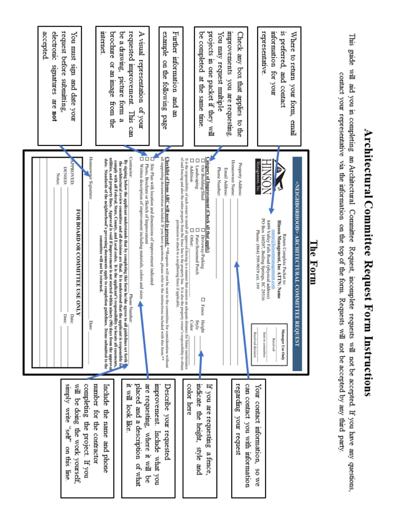|                                                                               | Notes:                                                                                                                                                                                                                                                                                                                                                                                                   | accepted<br>electronic<br>samatures<br>are not                           |
|-------------------------------------------------------------------------------|----------------------------------------------------------------------------------------------------------------------------------------------------------------------------------------------------------------------------------------------------------------------------------------------------------------------------------------------------------------------------------------------------------|--------------------------------------------------------------------------|
| will be doing the work yourself.<br>kiduus<br>write<br>"self"<br>on this line | PPROVED:<br><b>DENIED:</b><br>FOR BOARD OR COMMITTEE USE ONLY<br>Date:<br>Date:                                                                                                                                                                                                                                                                                                                          | request before submitting.<br>You must sign<br>and date your             |
| completing the project. If you                                                | Homeowner Signature:<br><b>Date:</b>                                                                                                                                                                                                                                                                                                                                                                     |                                                                          |
| number for the contractor<br>Include<br>the name and phone                    | utilities, and property lines. Approval is void if improvement is not started within ninety (90) days from the approval<br>date. Standards of the neighborhood's governing documents apply to completion guidelines. Items submitted to the<br>comply with all Federal, State, County, and Local codes. It is the applicant's responsibility to locate all casements,<br>committee will not be returned. | internet<br>brochure or an image<br>from the                             |
| 부스<br>look like                                                               | Contractor:<br>By signing below the applicant understands that by completing this form he/she agrees to all guidelines set forth<br>the architectural review committee and all decisions are final. It is understood that the applicant is responsible to<br>Phone Number:                                                                                                                               | requested improvement.<br>be a drawing.<br>picture form<br>This can<br>ø |
| are requesting.<br>placed and a description of what<br>where it will<br>ă     | őά<br>Written description of improvement including materials, colors and sizes<br>Photo, Brochure or Sketch of Improvement                                                                                                                                                                                                                                                                               | A visual<br>representation<br>mo/ fo                                     |
| mprovement.<br>Describe your requested<br>Include what you                    | all supporting documentation included. If you have questions, please refer to the instructions included with this form.**<br><b>Checklist of Hems ARC will need to proceed:</b> "Requests will not be sent to the committee for consideration without<br>D<br>Site Plan with location and dimensions of improvement indicated                                                                            | example<br>on the following<br>page                                      |
|                                                                               | of said fencing and also the entire property from the fence line to the property line. It is also the property owner's responsibility to obtain<br>permission to attach to a neighboring fence if applicable.                                                                                                                                                                                            | Further information<br>and an                                            |
| indicate the height, style and<br>color here                                  | It is the responsibility of each owner to install all approved fencing in a manner that ensures an adequate distance for future maintenance<br>Ο<br>□<br>ο<br><b>Addition</b><br>Landscaping<br>Out Building/Shed<br>Ω<br>□<br>Ω<br>Patio/Screened Porch<br>Other:<br>Driveway/Parking<br>$\Box$ Fence<br>Style<br>Color<br>Height                                                                       | be completed<br>at the same time                                         |
| If you are requesting<br>a fence,                                             | Category of Improvement (Check all that apply)                                                                                                                                                                                                                                                                                                                                                           | projects in one packet if they will                                      |
|                                                                               | Phone Number:<br>Email Address:                                                                                                                                                                                                                                                                                                                                                                          | improvements you are requesting<br>You may request multiple              |
| regarding your request                                                        | Homeowner Name:<br><b>Property Address:</b>                                                                                                                                                                                                                                                                                                                                                              | Check any box that applies<br>to the                                     |
| can contact you with information<br>Your contact information,<br>SO We        | Management,<br>Phone: (864) 599-9019 ext. 1##<br><b>Received decision</b>                                                                                                                                                                                                                                                                                                                                |                                                                          |
|                                                                               | PO Box 160207, Boiling Springs, SC 29316<br>8499 Valley Falls Road (physical address)<br>Sent to communice                                                                                                                                                                                                                                                                                               | representative                                                           |
|                                                                               | Hinson Management, Inc ATTIN: Name<br>name a hinsonmanagement, com<br>Return Complete Packet to:<br>Manager Use Only<br>Received                                                                                                                                                                                                                                                                         | information for your<br>is preferred, and contact                        |
|                                                                               | <neighborhood> ARCHITECTURAL COMMITTE<br/><b>REQUEST</b></neighborhood>                                                                                                                                                                                                                                                                                                                                  | Where to return<br>your form,<br>final                                   |
|                                                                               | Гhe<br>Form                                                                                                                                                                                                                                                                                                                                                                                              |                                                                          |
|                                                                               |                                                                                                                                                                                                                                                                                                                                                                                                          |                                                                          |
| will not be accepted. If you have any questions,                              | contact your representative via the information on the top of the form. Requests will not be accepted by any third party<br>Committee<br>Request, incomplete requests                                                                                                                                                                                                                                    | This guide will aid you in completing an Architectural                   |

Architectural Committee Request Form Instructions